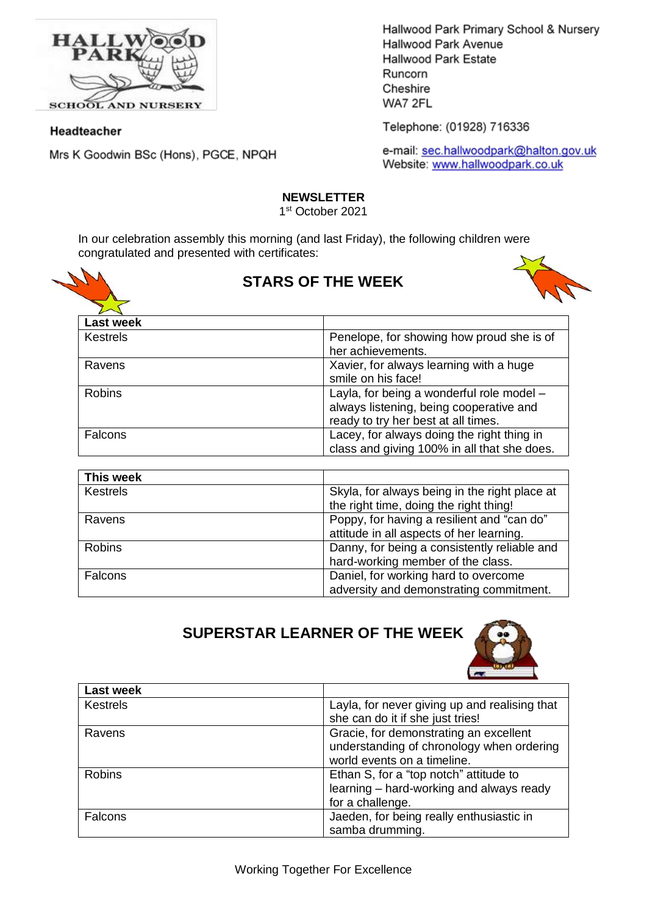

**SCHOOL AND NURSERY** 

### Headteacher

Mrs K Goodwin BSc (Hons), PGCE, NPQH

Hallwood Park Primary School & Nursery Hallwood Park Avenue Hallwood Park Estate Runcorn Cheshire WA7 2FL

Telephone: (01928) 716336

e-mail: sec.hallwoodpark@halton.gov.uk Website: www.hallwoodpark.co.uk

### **NEWSLETTER**

1 st October 2021

In our celebration assembly this morning (and last Friday), the following children were congratulated and presented with certificates:



## **STARS OF THE WEEK**



| <b>Last week</b> |                                             |
|------------------|---------------------------------------------|
| <b>Kestrels</b>  | Penelope, for showing how proud she is of   |
|                  | her achievements.                           |
| Ravens           | Xavier, for always learning with a huge     |
|                  | smile on his face!                          |
| <b>Robins</b>    | Layla, for being a wonderful role model -   |
|                  | always listening, being cooperative and     |
|                  | ready to try her best at all times.         |
| Falcons          | Lacey, for always doing the right thing in  |
|                  | class and giving 100% in all that she does. |

| This week       |                                               |
|-----------------|-----------------------------------------------|
| <b>Kestrels</b> | Skyla, for always being in the right place at |
|                 | the right time, doing the right thing!        |
| Ravens          | Poppy, for having a resilient and "can do"    |
|                 | attitude in all aspects of her learning.      |
| <b>Robins</b>   | Danny, for being a consistently reliable and  |
|                 | hard-working member of the class.             |
| Falcons         | Daniel, for working hard to overcome          |
|                 | adversity and demonstrating commitment.       |

# **SUPERSTAR LEARNER OF THE WEEK**



| <b>Last week</b> |                                                                                                                    |
|------------------|--------------------------------------------------------------------------------------------------------------------|
| <b>Kestrels</b>  | Layla, for never giving up and realising that<br>she can do it if she just tries!                                  |
| Ravens           | Gracie, for demonstrating an excellent<br>understanding of chronology when ordering<br>world events on a timeline. |
| <b>Robins</b>    | Ethan S, for a "top notch" attitude to<br>learning - hard-working and always ready<br>for a challenge.             |
| Falcons          | Jaeden, for being really enthusiastic in<br>samba drumming.                                                        |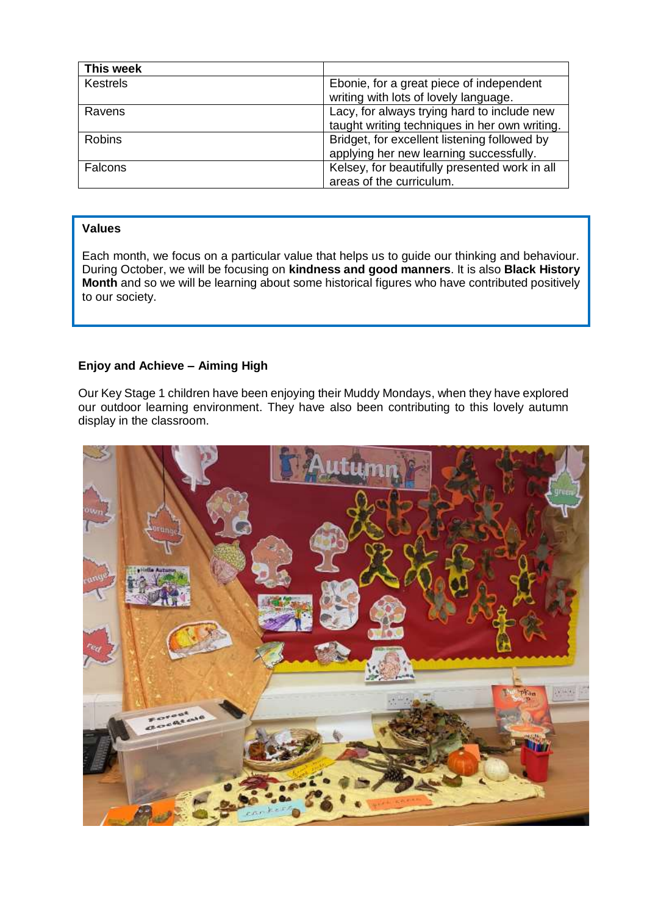| This week       |                                               |
|-----------------|-----------------------------------------------|
| <b>Kestrels</b> | Ebonie, for a great piece of independent      |
|                 | writing with lots of lovely language.         |
| Ravens          | Lacy, for always trying hard to include new   |
|                 | taught writing techniques in her own writing. |
| <b>Robins</b>   | Bridget, for excellent listening followed by  |
|                 | applying her new learning successfully.       |
| Falcons         | Kelsey, for beautifully presented work in all |
|                 | areas of the curriculum.                      |

### **Values**

Each month, we focus on a particular value that helps us to guide our thinking and behaviour. During October, we will be focusing on **kindness and good manners**. It is also **Black History Month** and so we will be learning about some historical figures who have contributed positively to our society.

### **Enjoy and Achieve – Aiming High**

Our Key Stage 1 children have been enjoying their Muddy Mondays, when they have explored our outdoor learning environment. They have also been contributing to this lovely autumn display in the classroom.